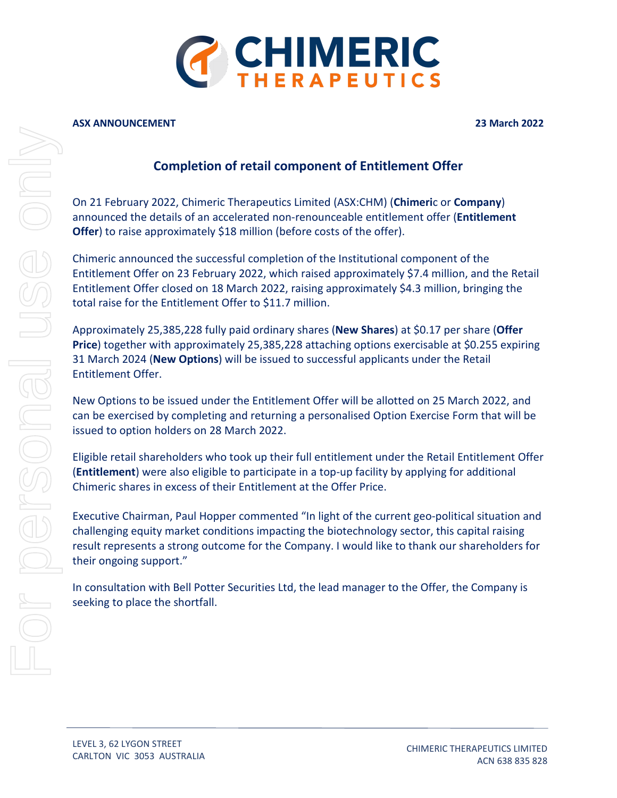

#### **ASX ANNOUNCEMENT 23 March 2022**

# **Completion of retail component of Entitlement Offer**

On 21 February 2022, Chimeric Therapeutics Limited (ASX:CHM) (**Chimeri**c or **Company**) announced the details of an accelerated non-renounceable entitlement offer (**Entitlement Offer**) to raise approximately \$18 million (before costs of the offer).

Chimeric announced the successful completion of the Institutional component of the Entitlement Offer on 23 February 2022, which raised approximately \$7.4 million, and the Retail Entitlement Offer closed on 18 March 2022, raising approximately \$4.3 million, bringing the total raise for the Entitlement Offer to \$11.7 million.

Approximately 25,385,228 fully paid ordinary shares (**New Shares**) at \$0.17 per share (**Offer Price**) together with approximately 25,385,228 attaching options exercisable at \$0.255 expiring 31 March 2024 (**New Options**) will be issued to successful applicants under the Retail Entitlement Offer.

New Options to be issued under the Entitlement Offer will be allotted on 25 March 2022, and can be exercised by completing and returning a personalised Option Exercise Form that will be issued to option holders on 28 March 2022.

Eligible retail shareholders who took up their full entitlement under the Retail Entitlement Offer (**Entitlement**) were also eligible to participate in a top-up facility by applying for additional Chimeric shares in excess of their Entitlement at the Offer Price.

Executive Chairman, Paul Hopper commented "In light of the current geo-political situation and challenging equity market conditions impacting the biotechnology sector, this capital raising result represents a strong outcome for the Company. I would like to thank our shareholders for their ongoing support."

In consultation with Bell Potter Securities Ltd, the lead manager to the Offer, the Company is seeking to place the shortfall.